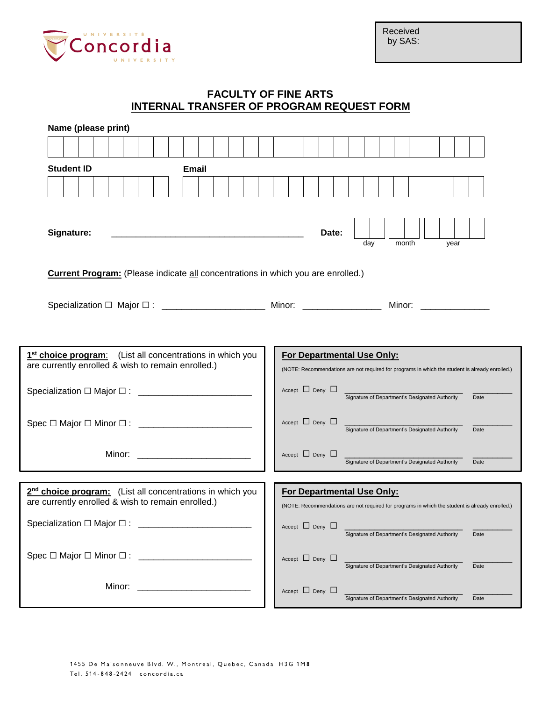

Received by SAS:

## **FACULTY OF FINE ARTS INTERNAL TRANSFER OF PROGRAM REQUEST FORM**

| Name (please print)                                                                                                                                                                                                            |              |  |  |                            |  |     |       |                                                |  |      |      |                                                                                                 |
|--------------------------------------------------------------------------------------------------------------------------------------------------------------------------------------------------------------------------------|--------------|--|--|----------------------------|--|-----|-------|------------------------------------------------|--|------|------|-------------------------------------------------------------------------------------------------|
|                                                                                                                                                                                                                                |              |  |  |                            |  |     |       |                                                |  |      |      |                                                                                                 |
| <b>Student ID</b>                                                                                                                                                                                                              | <b>Email</b> |  |  |                            |  |     |       |                                                |  |      |      |                                                                                                 |
|                                                                                                                                                                                                                                |              |  |  |                            |  |     |       |                                                |  |      |      |                                                                                                 |
|                                                                                                                                                                                                                                |              |  |  |                            |  |     |       |                                                |  |      |      |                                                                                                 |
|                                                                                                                                                                                                                                |              |  |  |                            |  |     |       |                                                |  |      |      |                                                                                                 |
| Signature:                                                                                                                                                                                                                     |              |  |  | Date:                      |  |     |       |                                                |  |      |      |                                                                                                 |
|                                                                                                                                                                                                                                |              |  |  |                            |  | day | month |                                                |  | year |      |                                                                                                 |
| <b>Current Program:</b> (Please indicate all concentrations in which you are enrolled.)                                                                                                                                        |              |  |  |                            |  |     |       |                                                |  |      |      |                                                                                                 |
|                                                                                                                                                                                                                                |              |  |  |                            |  |     |       |                                                |  |      |      |                                                                                                 |
| Specialization □ Major □ : _______________________ Minor: _________________                                                                                                                                                    |              |  |  |                            |  |     |       | Minor: <b>Minor</b> Section 1997               |  |      |      |                                                                                                 |
|                                                                                                                                                                                                                                |              |  |  |                            |  |     |       |                                                |  |      |      |                                                                                                 |
|                                                                                                                                                                                                                                |              |  |  |                            |  |     |       |                                                |  |      |      |                                                                                                 |
| 1 <sup>st</sup> choice program: (List all concentrations in which you                                                                                                                                                          |              |  |  | For Departmental Use Only: |  |     |       |                                                |  |      |      |                                                                                                 |
| are currently enrolled & wish to remain enrolled.)                                                                                                                                                                             |              |  |  |                            |  |     |       |                                                |  |      |      | (NOTE: Recommendations are not required for programs in which the student is already enrolled.) |
|                                                                                                                                                                                                                                |              |  |  | $Accept \Box$ Deny $\Box$  |  |     |       | Signature of Department's Designated Authority |  |      | Date |                                                                                                 |
|                                                                                                                                                                                                                                |              |  |  |                            |  |     |       |                                                |  |      |      |                                                                                                 |
| Spec □ Major □ Minor □ : _______________________                                                                                                                                                                               |              |  |  | $Accept \Box$ Deny $\Box$  |  |     |       | Signature of Department's Designated Authority |  |      | Date |                                                                                                 |
|                                                                                                                                                                                                                                |              |  |  |                            |  |     |       |                                                |  |      |      |                                                                                                 |
| Minor: the contract of the contract of the contract of the contract of the contract of the contract of the contract of the contract of the contract of the contract of the contract of the contract of the contract of the con |              |  |  | Accept $\Box$ Deny $\Box$  |  |     |       | Signature of Department's Designated Authority |  |      | Date |                                                                                                 |
|                                                                                                                                                                                                                                |              |  |  |                            |  |     |       |                                                |  |      |      |                                                                                                 |
| 2 <sup>nd</sup> choice program: (List all concentrations in which you<br>are currently enrolled & wish to remain enrolled.)                                                                                                    |              |  |  | For Departmental Use Only: |  |     |       |                                                |  |      |      |                                                                                                 |
|                                                                                                                                                                                                                                |              |  |  |                            |  |     |       |                                                |  |      |      | (NOTE: Recommendations are not required for programs in which the student is already enrolled.) |
| Specialization □ Major □ :                                                                                                                                                                                                     |              |  |  | Accept $\Box$ Deny $\Box$  |  |     |       | Signature of Department's Designated Authority |  |      | Date |                                                                                                 |
| Spec □ Major □ Minor □ : _______                                                                                                                                                                                               |              |  |  |                            |  |     |       |                                                |  |      |      |                                                                                                 |
|                                                                                                                                                                                                                                |              |  |  | Accept $\Box$ Deny $\Box$  |  |     |       | Signature of Department's Designated Authority |  |      | Date |                                                                                                 |
| Minor:                                                                                                                                                                                                                         |              |  |  |                            |  |     |       |                                                |  |      |      |                                                                                                 |
|                                                                                                                                                                                                                                |              |  |  | Accept $\Box$ Deny $\Box$  |  |     |       | Signature of Department's Designated Authority |  |      | Date |                                                                                                 |